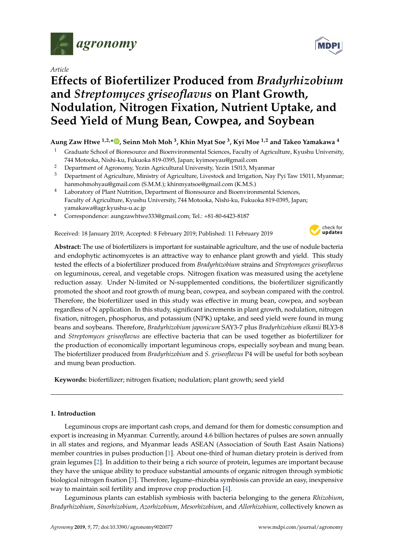

*Article*

# **Effects of Biofertilizer Produced from** *Bradyrhizobium* **and** *Streptomyces griseoflavus* **on Plant Growth, Nodulation, Nitrogen Fixation, Nutrient Uptake, and Seed Yield of Mung Bean, Cowpea, and Soybean**

# **Aung Zaw Htwe 1,2,\* [,](https://orcid.org/0000-0002-9433-812X) Seinn Moh Moh <sup>3</sup> , Khin Myat Soe <sup>3</sup> , Kyi Moe 1,2 and Takeo Yamakawa <sup>4</sup>**

- Graduate School of Bioresource and Bioenvironmental Sciences, Faculty of Agriculture, Kyushu University, 744 Motooka, Nishi-ku, Fukuoka 819-0395, Japan; kyimoeyau@gmail.com
- <sup>2</sup> Department of Agronomy, Yezin Agricultural University, Yezin 15013, Myanmar
- <sup>3</sup> Department of Agriculture, Ministry of Agriculture, Livestock and Irrigation, Nay Pyi Taw 15011, Myanmar; hanmohmohyau@gmail.com (S.M.M.); khinmyatsoe@gmail.com (K.M.S.)
- <sup>4</sup> Laboratory of Plant Nutrition, Department of Bioresource and Bioenvironmental Sciences, Faculty of Agriculture, Kyushu University, 744 Motooka, Nishi-ku, Fukuoka 819-0395, Japan; yamakawa@agr.kyushu-u.ac.jp
- **\*** Correspondence: aungzawhtwe333@gmail.com; Tel.: +81-80-6423-8187

Received: 18 January 2019; Accepted: 8 February 2019; Published: 11 February 2019



**Abstract:** The use of biofertilizers is important for sustainable agriculture, and the use of nodule bacteria and endophytic actinomycetes is an attractive way to enhance plant growth and yield. This study tested the effects of a biofertilizer produced from *Bradyrhizobium* strains and *Streptomyces griseoflavus* on leguminous, cereal, and vegetable crops. Nitrogen fixation was measured using the acetylene reduction assay. Under N-limited or N-supplemented conditions, the biofertilizer significantly promoted the shoot and root growth of mung bean, cowpea, and soybean compared with the control. Therefore, the biofertilizer used in this study was effective in mung bean, cowpea, and soybean regardless of N application. In this study, significant increments in plant growth, nodulation, nitrogen fixation, nitrogen, phosphorus, and potassium (NPK) uptake, and seed yield were found in mung beans and soybeans. Therefore, *Bradyrhizobium japonicum* SAY3-7 plus *Bradyrhizobium elkanii* BLY3-8 and *Streptomyces griseoflavus* are effective bacteria that can be used together as biofertilizer for the production of economically important leguminous crops, especially soybean and mung bean. The biofertilizer produced from *Bradyrhizobium* and *S. griseoflavus* P4 will be useful for both soybean and mung bean production.

**Keywords:** biofertilizer; nitrogen fixation; nodulation; plant growth; seed yield

# **1. Introduction**

Leguminous crops are important cash crops, and demand for them for domestic consumption and export is increasing in Myanmar. Currently, around 4.6 billion hectares of pulses are sown annually in all states and regions, and Myanmar leads ASEAN (Association of South East Asain Nations) member countries in pulses production [\[1\]](#page-9-0). About one-third of human dietary protein is derived from grain legumes [\[2\]](#page-9-1). In addition to their being a rich source of protein, legumes are important because they have the unique ability to produce substantial amounts of organic nitrogen through symbiotic biological nitrogen fixation [\[3\]](#page-9-2). Therefore, legume–rhizobia symbiosis can provide an easy, inexpensive way to maintain soil fertility and improve crop production [\[4\]](#page-9-3).

Leguminous plants can establish symbiosis with bacteria belonging to the genera *Rhizobium*, *Bradyrhizobium*, *Sinorhizobium*, *Azorhizobium*, *Mesorhizobium*, and *Allorhizobium*, collectively known as

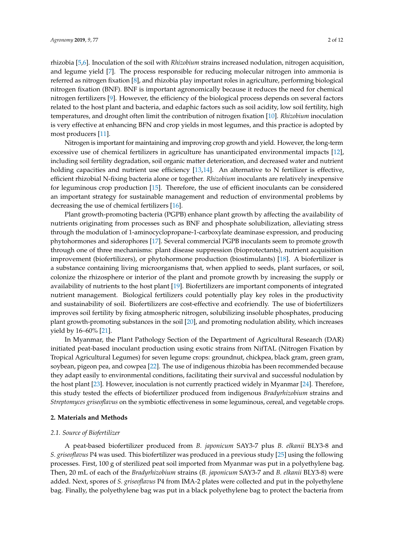rhizobia [\[5](#page-9-4)[,6\]](#page-9-5). Inoculation of the soil with *Rhizobium* strains increased nodulation, nitrogen acquisition, and legume yield [\[7\]](#page-9-6). The process responsible for reducing molecular nitrogen into ammonia is referred as nitrogen fixation [\[8\]](#page-9-7), and rhizobia play important roles in agriculture, performing biological nitrogen fixation (BNF). BNF is important agronomically because it reduces the need for chemical nitrogen fertilizers [\[9\]](#page-9-8). However, the efficiency of the biological process depends on several factors related to the host plant and bacteria, and edaphic factors such as soil acidity, low soil fertility, high temperatures, and drought often limit the contribution of nitrogen fixation [\[10\]](#page-9-9). *Rhizobium* inoculation is very effective at enhancing BFN and crop yields in most legumes, and this practice is adopted by most producers [\[11\]](#page-9-10).

Nitrogen is important for maintaining and improving crop growth and yield. However, the long-term excessive use of chemical fertilizers in agriculture has unanticipated environmental impacts [\[12\]](#page-9-11), including soil fertility degradation, soil organic matter deterioration, and decreased water and nutrient holding capacities and nutrient use efficiency [\[13](#page-9-12)[,14\]](#page-9-13). An alternative to N fertilizer is effective, efficient rhizobial N-fixing bacteria alone or together. *Rhizobium* inoculants are relatively inexpensive for leguminous crop production [\[15\]](#page-10-0). Therefore, the use of efficient inoculants can be considered an important strategy for sustainable management and reduction of environmental problems by decreasing the use of chemical fertilizers [\[16\]](#page-10-1).

Plant growth-promoting bacteria (PGPB) enhance plant growth by affecting the availability of nutrients originating from processes such as BNF and phosphate solubilization, alleviating stress through the modulation of 1-aminocyclopropane-1-carboxylate deaminase expression, and producing phytohormones and siderophores [\[17\]](#page-10-2). Several commercial PGPB inoculants seem to promote growth through one of three mechanisms: plant disease suppression (bioprotectants), nutrient acquisition improvement (biofertilizers), or phytohormone production (biostimulants) [\[18\]](#page-10-3). A biofertilizer is a substance containing living microorganisms that, when applied to seeds, plant surfaces, or soil, colonize the rhizosphere or interior of the plant and promote growth by increasing the supply or availability of nutrients to the host plant [\[19\]](#page-10-4). Biofertilizers are important components of integrated nutrient management. Biological fertilizers could potentially play key roles in the productivity and sustainability of soil. Biofertilizers are cost-effective and ecofriendly. The use of biofertilizers improves soil fertility by fixing atmospheric nitrogen, solubilizing insoluble phosphates, producing plant growth-promoting substances in the soil [\[20\]](#page-10-5), and promoting nodulation ability, which increases yield by 16–60% [\[21\]](#page-10-6).

In Myanmar, the Plant Pathology Section of the Department of Agricultural Research (DAR) initiated peat-based inoculant production using exotic strains from NifTAL (Nitrogen Fixation by Tropical Agricultural Legumes) for seven legume crops: groundnut, chickpea, black gram, green gram, soybean, pigeon pea, and cowpea [\[22\]](#page-10-7). The use of indigenous rhizobia has been recommended because they adapt easily to environmental conditions, facilitating their survival and successful nodulation by the host plant [\[23\]](#page-10-8). However, inoculation is not currently practiced widely in Myanmar [\[24\]](#page-10-9). Therefore, this study tested the effects of biofertilizer produced from indigenous *Bradyrhizobium* strains and *Streptomyces griseoflavus* on the symbiotic effectiveness in some leguminous, cereal, and vegetable crops.

# **2. Materials and Methods**

# *2.1. Source of Biofertilizer*

A peat-based biofertilizer produced from *B. japonicum* SAY3-7 plus *B. elkanii* BLY3-8 and *S. griseoflavus* P4 was used. This biofertilizer was produced in a previous study [\[25\]](#page-10-10) using the following processes. First, 100 g of sterilized peat soil imported from Myanmar was put in a polyethylene bag. Then, 20 mL of each of the *Bradyrhizobium* strains (*B. japonicum* SAY3-7 and *B. elkanii* BLY3-8) were added. Next, spores of *S. griseoflavus* P4 from IMA-2 plates were collected and put in the polyethylene bag. Finally, the polyethylene bag was put in a black polyethylene bag to protect the bacteria from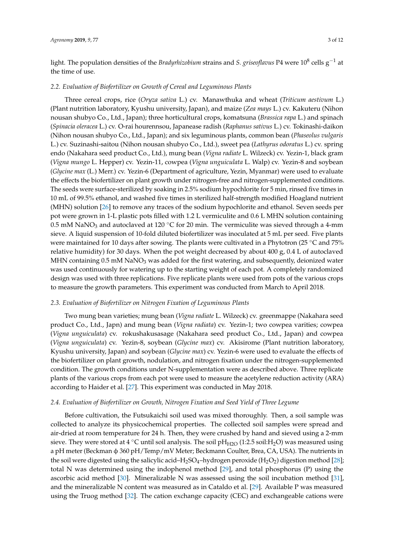light. The population densities of the *Bradyrhizobium* strains and *S. griseoflavus* P4 were 10<sup>8</sup> cells g−<sup>1</sup> at the time of use.

#### *2.2. Evaluation of Biofertilizer on Growth of Cereal and Leguminous Plants*

Three cereal crops, rice (*Oryza sativa* L.) cv. Manawthuka and wheat (*Triticum aestivum* L.) (Plant nutrition laboratory, Kyushu university, Japan), and maize (*Zea mays* L.) cv. Kakuteru (Nihon nousan shubyo Co., Ltd., Japan); three horticultural crops, komatsuna (*Brassica rapa* L.) and spinach (*Spinacia oleracea* L.) cv. O-rai hourennsou, Japanease radish (*Raphanus sativus* L.) cv. Tokinashi-daikon (Nihon nousan shubyo Co., Ltd., Japan); and six leguminous plants, common bean (*Phaseolus vulgaris* L.) cv. Suzinashi-saitou (Nihon nousan shubyo Co., Ltd.), sweet pea (*Lathyrus odoratus* L.) cv. spring endo (Nakahara seed product Co., Ltd.), mung bean (*Vigna radiate* L. Wilzeck) cv. Yezin-1, black gram (*Vigna mungo* L. Hepper) cv. Yezin-11, cowpea (*Vigna unguiculata* L. Walp) cv. Yezin-8 and soybean (*Glycine max* (L.) Merr.) cv. Yezin-6 (Department of agriculture, Yezin, Myanmar) were used to evaluate the effects the biofertilizer on plant growth under nitrogen-free and nitrogen-supplemented conditions. The seeds were surface-sterilized by soaking in 2.5% sodium hypochlorite for 5 min, rinsed five times in 10 mL of 99.5% ethanol, and washed five times in sterilized half-strength modified Hoagland nutrient (MHN) solution [\[26\]](#page-10-11) to remove any traces of the sodium hypochlorite and ethanol. Seven seeds per pot were grown in 1-L plastic pots filled with 1.2 L vermiculite and 0.6 L MHN solution containing 0.5 mM NaNO<sub>3</sub> and autoclaved at 120 °C for 20 min. The vermiculite was sieved through a 4-mm sieve. A liquid suspension of 10-fold diluted biofertilizer was inoculated at 5 mL per seed. Five plants were maintained for 10 days after sowing. The plants were cultivated in a Phytotron (25 ◦C and 75% relative humidity) for 30 days. When the pot weight decreased by about 400 g, 0.4 L of autoclaved MHN containing  $0.5$  mM NaNO<sub>3</sub> was added for the first watering, and subsequently, deionized water was used continuously for watering up to the starting weight of each pot. A completely randomized design was used with three replications. Five replicate plants were used from pots of the various crops to measure the growth parameters. This experiment was conducted from March to April 2018.

## *2.3. Evaluation of Biofertilizer on Nitrogen Fixation of Leguminous Plants*

Two mung bean varieties; mung bean (*Vigna radiate* L. Wilzeck) cv. greenmappe (Nakahara seed product Co., Ltd., Japn) and mung bean (*Vigna radiata*) cv. Yezin-1; two cowpea varities; cowpea (*Vigna unguiculata*) cv. rokushakusasage (Nakahara seed product Co., Ltd., Japan) and cowpea (*Vigna unguiculata*) cv. Yezin-8, soybean (*Glycine max*) cv. Akisirome (Plant nutrition laboratory, Kyushu university, Japan) and soybean (*Glycine max*) cv. Yezin-6 were used to evaluate the effects of the biofertilizer on plant growth, nodulation, and nitrogen fixation under the nitrogen-supplemented condition. The growth conditions under N-supplementation were as described above. Three replicate plants of the various crops from each pot were used to measure the acetylene reduction activity (ARA) according to Haider et al. [\[27\]](#page-10-12). This experiment was conducted in May 2018.

#### *2.4. Evaluation of Biofertilizer on Growth, Nitrogen Fixation and Seed Yield of Three Legume*

Before cultivation, the Futsukaichi soil used was mixed thoroughly. Then, a soil sample was collected to analyze its physicochemical properties. The collected soil samples were spread and air-dried at room temperature for 24 h. Then, they were crushed by hand and sieved using a 2-mm sieve. They were stored at 4  $\degree$ C until soil analysis. The soil pH<sub>H2O</sub> (1:2.5 soil:H<sub>2</sub>O) was measured using a pH meter (Beckman φ 360 pH/Temp/mV Meter; Beckmann Coulter, Brea, CA, USA). The nutrients in the soil were digested using the salicylic acid–H<sub>2</sub>SO<sub>4</sub>–hydrogen peroxide (H<sub>2</sub>O<sub>2</sub>) digestion method [\[28\]](#page-10-13); total N was determined using the indophenol method [\[29\]](#page-10-14), and total phosphorus (P) using the ascorbic acid method [\[30\]](#page-10-15). Mineralizable N was assessed using the soil incubation method [\[31\]](#page-10-16), and the mineralizable N content was measured as in Cataldo et al. [\[29\]](#page-10-14). Available P was measured using the Truog method [\[32\]](#page-10-17). The cation exchange capacity (CEC) and exchangeable cations were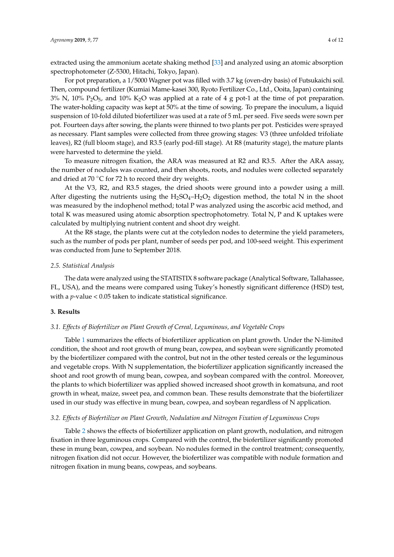extracted using the ammonium acetate shaking method [\[33\]](#page-10-18) and analyzed using an atomic absorption spectrophotometer (Z-5300, Hitachi, Tokyo, Japan).

For pot preparation, a 1/5000 Wagner pot was filled with 3.7 kg (oven-dry basis) of Futsukaichi soil. Then, compound fertilizer (Kumiai Mame-kasei 300, Ryoto Fertilizer Co., Ltd., Ooita, Japan) containing  $3\%$  N,  $10\%$  P<sub>2</sub>O<sub>5</sub>, and  $10\%$  K<sub>2</sub>O was applied at a rate of 4 g pot-1 at the time of pot preparation. The water-holding capacity was kept at 50% at the time of sowing. To prepare the inoculum, a liquid suspension of 10-fold diluted biofertilizer was used at a rate of 5 mL per seed. Five seeds were sown per pot. Fourteen days after sowing, the plants were thinned to two plants per pot. Pesticides were sprayed as necessary. Plant samples were collected from three growing stages: V3 (three unfolded trifoliate leaves), R2 (full bloom stage), and R3.5 (early pod-fill stage). At R8 (maturity stage), the mature plants were harvested to determine the yield.

To measure nitrogen fixation, the ARA was measured at R2 and R3.5. After the ARA assay, the number of nodules was counted, and then shoots, roots, and nodules were collected separately and dried at 70  $\degree$ C for 72 h to record their dry weights.

At the V3, R2, and R3.5 stages, the dried shoots were ground into a powder using a mill. After digesting the nutrients using the  $H_2SO_4-H_2O_2$  digestion method, the total N in the shoot was measured by the indophenol method; total P was analyzed using the ascorbic acid method, and total K was measured using atomic absorption spectrophotometry. Total N, P and K uptakes were calculated by multiplying nutrient content and shoot dry weight.

At the R8 stage, the plants were cut at the cotyledon nodes to determine the yield parameters, such as the number of pods per plant, number of seeds per pod, and 100-seed weight. This experiment was conducted from June to September 2018.

#### *2.5. Statistical Analysis*

The data were analyzed using the STATISTIX 8 software package (Analytical Software, Tallahassee, FL, USA), and the means were compared using Tukey's honestly significant difference (HSD) test, with a *p*-value < 0.05 taken to indicate statistical significance.

## **3. Results**

## *3.1. Effects of Biofertilizer on Plant Growth of Cereal, Leguminous, and Vegetable Crops*

Table [1](#page-4-0) summarizes the effects of biofertilizer application on plant growth. Under the N-limited condition, the shoot and root growth of mung bean, cowpea, and soybean were significantly promoted by the biofertilizer compared with the control, but not in the other tested cereals or the leguminous and vegetable crops. With N supplementation, the biofertilizer application significantly increased the shoot and root growth of mung bean, cowpea, and soybean compared with the control. Moreover, the plants to which biofertilizer was applied showed increased shoot growth in komatsuna, and root growth in wheat, maize, sweet pea, and common bean. These results demonstrate that the biofertilizer used in our study was effective in mung bean, cowpea, and soybean regardless of N application.

## *3.2. Effects of Biofertilizer on Plant Growth, Nodulation and Nitrogen Fixation of Leguminous Crops*

Table [2](#page-4-1) shows the effects of biofertilizer application on plant growth, nodulation, and nitrogen fixation in three leguminous crops. Compared with the control, the biofertilizer significantly promoted these in mung bean, cowpea, and soybean. No nodules formed in the control treatment; consequently, nitrogen fixation did not occur. However, the biofertilizer was compatible with nodule formation and nitrogen fixation in mung beans, cowpeas, and soybeans.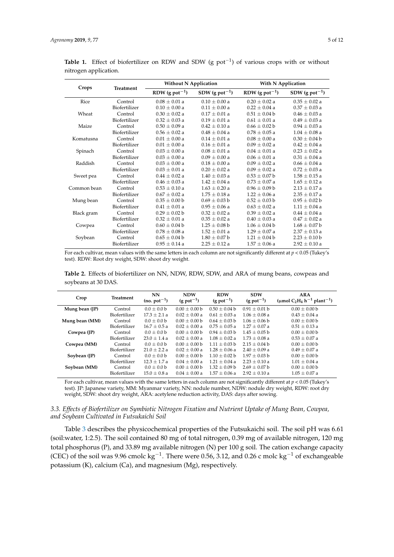|             |               | <b>Without N Application</b> |                              |                              | With N Application           |  |
|-------------|---------------|------------------------------|------------------------------|------------------------------|------------------------------|--|
| Crops       | Treatment     | RDW $(g$ pot <sup>-1</sup> ) | SDW $(g$ pot <sup>-1</sup> ) | RDW $(g$ pot <sup>-1</sup> ) | SDW $(g$ pot <sup>-1</sup> ) |  |
| Rice        | Control       | $0.08 \pm 0.01$ a            | $0.10 \pm 0.00$ a            | $0.20 \pm 0.02$ a            | $0.35 \pm 0.02$ a            |  |
|             | Biofertilizer | $0.10 \pm 0.00$ a            | $0.11 \pm 0.00$ a            | $0.22 \pm 0.04$ a            | $0.37 \pm 0.03$ a            |  |
| Wheat       | Control       | $0.30 \pm 0.02$ a            | $0.17 \pm 0.01$ a            | $0.51 \pm 0.04$ b            | $0.46 \pm 0.03$ a            |  |
|             | Biofertilizer | $0.32 \pm 0.03$ a            | $0.19 \pm 0.01$ a            | $0.61 \pm 0.01$ a            | $0.49 \pm 0.03$ a            |  |
| Maize       | Control       | $0.50 \pm 0.09$ a            | $0.42 \pm 0.10$ a            | $0.66 \pm 0.02 b$            | $0.94 \pm 0.03$ a            |  |
|             | Biofertilizer | $0.56 \pm 0.02$ a            | $0.48 \pm 0.04$ a            | $0.78 \pm 0.05$ a            | $1.04 \pm 0.08$ a            |  |
| Komatusna   | Control       | $0.01 \pm 0.00$ a            | $0.14 \pm 0.01$ a            | $0.08 + 0.00 a$              | $0.30 \pm 0.04 b$            |  |
|             | Biofertilizer | $0.01 \pm 0.00 a$            | $0.16 \pm 0.01$ a            | $0.09 \pm 0.02$ a            | $0.42 \pm 0.04$ a            |  |
| Spinach     | Control       | $0.03 \pm 0.00 a$            | $0.08 \pm 0.01$ a            | $0.04 \pm 0.01$ a            | $0.23 \pm 0.02$ a            |  |
|             | Biofertilizer | $0.03 \pm 0.00 a$            | $0.09 \pm 0.00 a$            | $0.06 \pm 0.01$ a            | $0.31 \pm 0.04$ a            |  |
| Raddish     | Control       | $0.03 \pm 0.00 a$            | $0.18 \pm 0.00$ a            | $0.09 \pm 0.02$ a            | $0.66 \pm 0.04$ a            |  |
|             | Biofertilizer | $0.03 \pm 0.01$ a            | $0.20 \pm 0.02$ a            | $0.09 \pm 0.02$ a            | $0.72 \pm 0.03$ a            |  |
| Sweet pea   | Control       | $0.44 \pm 0.02$ a            | $1.40 \pm 0.03$ a            | $0.53 \pm 0.07$ b            | $1.58 \pm 0.15$ a            |  |
|             | Biofertilizer | $0.46 \pm 0.03$ a            | $1.42 \pm 0.04$ a            | $0.73 \pm 0.07$ a            | $1.65 \pm 0.12$ a            |  |
| Common bean | Control       | $0.53 \pm 0.10$ a            | $1.63 \pm 0.20$ a            | $0.96 \pm 0.09 b$            | $2.13 \pm 0.17$ a            |  |
|             | Biofertilizer | $0.67 \pm 0.02$ a            | $1.75 \pm 0.18$ a            | $1.22 \pm 0.06$ a            | $2.35 \pm 0.17$ a            |  |
| Mung bean   | Control       | $0.35 \pm 0.00$ b            | $0.69 \pm 0.03 b$            | $0.52 \pm 0.03$ b            | $0.95 \pm 0.02 b$            |  |
|             | Biofertilizer | $0.41 \pm 0.01$ a            | $0.95 \pm 0.06$ a            | $0.63 \pm 0.02$ a            | $1.11 \pm 0.04$ a            |  |
| Black gram  | Control       | $0.29 \pm 0.02 b$            | $0.32 \pm 0.02$ a            | $0.39 \pm 0.02$ a            | $0.44 \pm 0.04$ a            |  |
|             | Biofertilizer | $0.32 \pm 0.01$ a            | $0.35 \pm 0.02$ a            | $0.40 \pm 0.03$ a            | $0.47 \pm 0.02$ a            |  |
| Cowpea      | Control       | $0.60 \pm 0.04 b$            | $1.25 \pm 0.08$ b            | $1.06 \pm 0.04$ b            | $1.68 \pm 0.07$ b            |  |
|             | Biofertilizer | $0.78 \pm 0.08$ a            | $1.52 \pm 0.01$ a            | $1.29 \pm 0.07$ a            | $2.37 \pm 0.13$ a            |  |
| Soybean     | Control       | $0.65 \pm 0.04$ b            | $1.80 \pm 0.07$ b            | $1.21 \pm 0.04$ b            | $2.23 \pm 0.10$ b            |  |
|             | Biofertilizer | $0.95 \pm 0.14$ a            | $2.25 \pm 0.12$ a            | $1.57 \pm 0.06$ a            | $2.92 \pm 0.10$ a            |  |

<span id="page-4-0"></span>Table 1. Effect of biofertilizer on RDW and SDW (g pot<sup>-1</sup>) of various crops with or without nitrogen application.

For each cultivar, mean values with the same letters in each column are not significantly different at *p* < 0.05 (Tukey's test). RDW: Root dry weight, SDW: shoot dry weight.

<span id="page-4-1"></span>**Table 2.** Effects of biofertilizer on NN, NDW, RDW, SDW, and ARA of mung beans, cowpeas and soybeans at 30 DAS.

| Crop           | <b>Treatment</b> | <b>NN</b><br>$(no. pot-1)$ | <b>NDW</b><br>$(g$ pot <sup>-1</sup> ) | <b>RDW</b><br>$(g$ pot <sup>-1</sup> ) | <b>SDW</b><br>$(g$ pot <sup>-1</sup> ) | <b>ARA</b><br>(µmol C <sub>2</sub> H <sub>4</sub> h <sup>-1</sup> plant <sup>-1</sup> ) |
|----------------|------------------|----------------------------|----------------------------------------|----------------------------------------|----------------------------------------|-----------------------------------------------------------------------------------------|
| Mung bean (JP) | Control          | $0.0 + 0.0$ b              | $0.00 + 0.00$ b                        | $0.50 + 0.04$ b                        | $0.91 + 0.01$ b                        | $0.00 + 0.00$ b                                                                         |
|                | Biofertilizer    | $17.3 + 2.1 a$             | $0.02 + 0.00 a$                        | $0.61 + 0.03 a$                        | $1.06 + 0.08$ a                        | $0.43 + 0.04$ a                                                                         |
| Mung bean (MM) | Control          | $0.0 + 0.0$ b              | $0.00 + 0.00$ b                        | $0.64 + 0.03$ b                        | $1.06 + 0.06$ b                        | $0.00 + 0.00$ b                                                                         |
|                | Biofertilizer    | $16.7 + 0.5a$              | $0.02 + 0.00 a$                        | $0.75 + 0.05$ a                        | $1.27 + 0.07$ a                        | $0.51 + 0.13 a$                                                                         |
| Cowpea (JP)    | Control          | $0.0 + 0.0$ b              | $0.00 \pm 0.00 b$                      | $0.94 + 0.03$ b                        | $1.45 + 0.05$ b                        | $0.00 \pm 0.00 b$                                                                       |
|                | Biofertilizer    | $23.0 + 1.4 a$             | $0.02 + 0.00 a$                        | $1.08 + 0.02 a$                        | $1.73 + 0.08$ a                        | $0.53 + 0.07$ a                                                                         |
| Cowpea (MM)    | Control          | $0.0 + 0.0$ b              | $0.00 + 0.00$ b                        | $1.11 + 0.03$ b                        | $2.15 + 0.04$ b                        | $0.00 \pm 0.00 b$                                                                       |
|                | Biofertilizer    | $21.0 + 2.2 a$             | $0.02 + 0.00 a$                        | $1.28 + 0.06$ a                        | $2.40 + 0.09$ a                        | $0.49 + 0.07$ a                                                                         |
| Soybean (JP)   | Control          | $0.0 + 0.0$ b              | $0.00 + 0.00$ b                        | $1.10 + 0.02$ b                        | $1.97 + 0.03$ b                        | $0.00 \pm 0.00 b$                                                                       |
|                | Biofertilizer    | $12.3 + 1.7 a$             | $0.04 + 0.00 a$                        | $1.21 + 0.04$ a                        | $2.23 + 0.10 a$                        | $1.01 + 0.04$ a                                                                         |
| Soybean (MM)   | Control          | $0.0 \pm 0.0 b$            | $0.00 \pm 0.00 b$                      | $1.32 + 0.09$ b                        | $2.69 + 0.07$ b                        | $0.00 \pm 0.00 b$                                                                       |
|                | Biofertilizer    | $15.0 + 0.8 a$             | $0.04 + 0.00 a$                        | $1.57 + 0.06$ a                        | $2.92 + 0.10 a$                        | $1.05 + 0.07$ a                                                                         |

For each cultivar, mean values with the same letters in each column are not significantly different at *p* < 0.05 (Tukey's test). JP: Japanese variety, MM: Myanmar variety, NN: nodule number, NDW: nodule dry weight, RDW: root dry weight, SDW: shoot dry weight, ARA: acetylene reduction activity, DAS: days after sowing.

# *3.3. Effects of Biofertilizer on Symbiotic Nitrogen Fixation and Nutrient Uptake of Mung Bean, Cowpea, and Soybean Cultivated in Futsukaichi Soil*

Table [3](#page-5-0) describes the physicochemical properties of the Futsukaichi soil. The soil pH was 6.61 (soil:water, 1:2.5). The soil contained 80 mg of total nitrogen, 0.39 mg of available nitrogen, 120 mg total phosphorus (P), and 33.89 mg available nitrogen (N) per 100 g soil. The cation exchange capacity (CEC) of the soil was 9.96 cmolc kg<sup>-1</sup>. There were 0.56, 3.12, and 0.26 c molc kg<sup>-1</sup> of exchangeable potassium (K), calcium (Ca), and magnesium (Mg), respectively.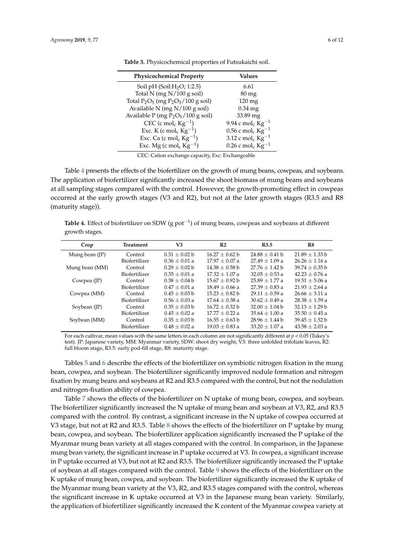| <b>Physicochemical Property</b>                | Values                                   |
|------------------------------------------------|------------------------------------------|
| Soil pH $(Soil:H2O; 1:2.5)$                    | 6.61                                     |
| Total N (mg $N/100$ g soil)                    | $80 \,\mathrm{mg}$                       |
| Total $P_2O_5$ (mg $P_2O_5/100$ g soil)        | $120 \text{ mg}$                         |
| Available N (mg N/100 g soil)                  | $0.34$ mg                                |
| Available P (mg $P_2O_5/100$ g soil)           | 33.89 mg                                 |
| CEC (c mol <sub>c</sub> $\text{Kg}^{-1}$ )     | 9.94 c mol <sub>c</sub> $\text{Kg}^{-1}$ |
| Exc. K (c mol <sub>c</sub> Kg <sup>-1</sup> )  | 0.56 c mol <sub>c</sub> Kg <sup>-1</sup> |
| Exc. Ca (c mol <sub>c</sub> $\text{Kg}^{-1}$ ) | 3.12 c mol <sub>c</sub> Kg <sup>-1</sup> |
| Exc. Mg (c mol <sub>c</sub> $\text{Kg}^{-1}$ ) | 0.26 c mol <sub>c</sub> $\text{Kg}^{-1}$ |

<span id="page-5-0"></span>**Table 3.** Physicochemical properties of Futsukaichi soil.

CEC: Cation exchange capacity, Exc: Exchangeable

Table [4](#page-5-1) presents the effects of the biofertilizer on the growth of mung beans, cowpeas, and soybeans. The application of biofertilizer significantly increased the shoot biomass of mung beans and soybeans at all sampling stages compared with the control. However, the growth-promoting effect in cowpeas occurred at the early growth stages (V3 and R2), but not at the later growth stages (R3.5 and R8 (maturity stage)).

<span id="page-5-1"></span>Table 4. Effect of biofertilizer on SDW (g pot<sup>-1</sup>) of mung beans, cowpeas and soybeans at different growth stages.

| Crop           | <b>Treatment</b> | V3                | R <sub>2</sub>     | R <sub>3.5</sub>   | R8                 |
|----------------|------------------|-------------------|--------------------|--------------------|--------------------|
| Mung bean (JP) | Control          | $0.31 + 0.02 b$   | $16.27 + 0.62 b$   | $24.88 \pm 0.41$ b | $21.89 \pm 1.33 b$ |
|                | Biofertilizer    | $0.36 \pm 0.01$ a | $17.97 + 0.07$ a   | $27.49 + 1.09$ a   | $26.26 + 1.16$ a   |
| Mung bean (MM) | Control          | $0.29 + 0.02 b$   | $14.38 + 0.58$ b   | $27.76 + 1.42$ b   | $39.74 + 0.35$ b   |
|                | Biofertilizer    | $0.35 + 0.01 a$   | $17.32 + 1.07$ a   | $32.05 + 0.53 a$   | $42.23 + 0.76$ a   |
| Cowpea $(IP)$  | Control          | $0.38 + 0.04 b$   | $15.67 + 0.92 b$   | $25.89 + 1.77$ a   | $19.51 + 5.06$ a   |
|                | Biofertilizer    | $0.47 + 0.01 a$   | $18.49 + 0.66$ a   | $27.39 + 0.83$ a   | $21.93 + 2.64$ a   |
| Cowpea (MM)    | Control          | $0.45 + 0.03$ b   | $15.23 + 0.82$ b   | $29.11 + 0.59$ a   | $26.66 + 3.11 a$   |
|                | Biofertilizer    | $0.56 + 0.03 a$   | $17.64 \pm 0.38$ a | $30.62 + 0.49$ a   | $28.38 + 1.59$ a   |
| Soybean (JP)   | Control          | $0.35 + 0.03$ b   | $16.72 + 0.32$ b   | $32.00 + 1.04$ b   | $32.13 + 1.29$ b   |
|                | Biofertilizer    | $0.45 \pm 0.02$ a | $17.77 + 0.22$ a   | $35.64 + 1.00 a$   | $35.50 + 0.45$ a   |
| Soybean (MM)   | Control          | $0.35 + 0.03$ b   | $16.55 + 0.63$ b   | $28.96 + 1.44$ b   | $39.45 + 1.52 b$   |
|                | Biofertilizer    | $0.48 + 0.02 a$   | $19.03 + 0.83 a$   | $33.20 + 1.07$ a   | $43.58 \pm 2.03$ a |

For each cultivar, mean values with the same letters in each column are not significantly different at *p* < 0.05 (Tukey's test). JP: Japanese variety, MM: Myanmar variety, SDW: shoot dry weight, V3: three unfolded trifoliate leaves, R2: full bloom stage, R3.5: early pod-fill stage, R8: maturity stage.

Tables [5](#page-6-0) and [6](#page-6-1) describe the effects of the biofertilizer on symbiotic nitrogen fixation in the mung bean, cowpea, and soybean. The biofertilizer significantly improved nodule formation and nitrogen fixation by mung beans and soybeans at R2 and R3.5 compared with the control, but not the nodulation and nitrogen-fixation ability of cowpea.

Table [7](#page-6-2) shows the effects of the biofertilizer on N uptake of mung bean, cowpea, and soybean. The biofertilizer significantly increased the N uptake of mung bean and soybean at V3, R2, and R3.5 compared with the control. By contrast, a significant increase in the N uptake of cowpea occurred at V3 stage, but not at R2 and R3.5. Table [8](#page-7-0) shows the effects of the biofertilizer on P uptake by mung bean, cowpea, and soybean. The biofertilizer application significantly increased the P uptake of the Myanmar mung bean variety at all stages compared with the control. In comparison, in the Japanese mung bean variety, the significant increase in P uptake occurred at V3. In cowpea, a significant increase in P uptake occurred at V3, but not at R2 and R3.5. The biofertilizer significantly increased the P uptake of soybean at all stages compared with the control. Table [9](#page-7-1) shows the effects of the biofertilizer on the K uptake of mung bean, cowpea, and soybean. The biofertilizer significantly increased the K uptake of the Myanmar mung bean variety at the V3, R2, and R3.5 stages compared with the control, whereas the significant increase in K uptake occurred at V3 in the Japanese mung bean variety. Similarly, the application of biofertilizer significantly increased the K content of the Myanmar cowpea variety at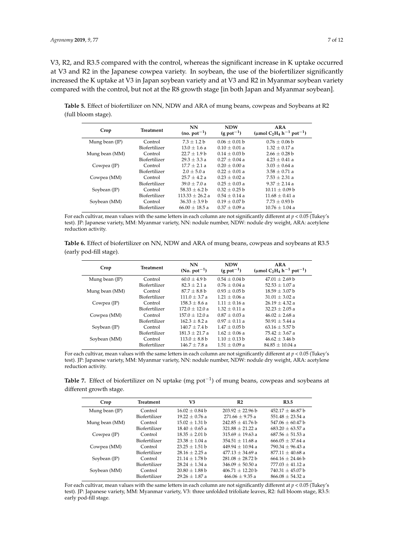V3, R2, and R3.5 compared with the control, whereas the significant increase in K uptake occurred at V3 and R2 in the Japanese cowpea variety. In soybean, the use of the biofertilizer significantly increased the K uptake at V3 in Japan soybean variety and at V3 and R2 in Myanmar soybean variety compared with the control, but not at the R8 growth stage [in both Japan and Myanmar soybean].

<span id="page-6-0"></span>**Table 5.** Effect of biofertilizer on NN, NDW and ARA of mung beans, cowpeas and Soybeans at R2 (full bloom stage).

| Crop           | Treatment     | NN<br>$(no. pot-1)$ | <b>NDW</b><br>$(g$ pot <sup>-1</sup> ) | <b>ARA</b><br>(µmol C <sub>2</sub> H <sub>4</sub> h <sup>-1</sup> pot <sup>-1</sup> ) |
|----------------|---------------|---------------------|----------------------------------------|---------------------------------------------------------------------------------------|
| Mung bean (JP) | Control       | $7.3 + 1.2 b$       | $0.06 + 0.01$ b                        | $0.76 + 0.06$ b                                                                       |
|                | Biofertilizer | $13.0 + 1.6 a$      | $0.10 + 0.01 a$                        | $1.32 + 0.17$ a                                                                       |
| Mung bean (MM) | Control       | $22.7 + 1.9 b$      | $0.14 + 0.03$ b                        | $2.66 + 0.28$ b                                                                       |
|                | Biofertilizer | $29.3 + 3.3 a$      | $0.27 + 0.04$ a                        | $4.23 + 0.41$ a                                                                       |
| Cowpea (JP)    | Control       | $17.7 + 2.1 a$      | $0.20 + 0.00 a$                        | $3.03 + 0.64$ a                                                                       |
|                | Biofertilizer | $2.0 + 5.0 a$       | $0.22 + 0.01 a$                        | $3.58 \pm 0.71$ a                                                                     |
| Cowpea (MM)    | Control       | $25.7 + 4.2 a$      | $0.23 + 0.02 a$                        | $7.53 + 2.31$ a                                                                       |
|                | Biofertilizer | $39.0 + 7.0 a$      | $0.25 + 0.03 a$                        | $9.37 + 2.14$ a                                                                       |
| Soybean (JP)   | Control       | $58.33 + 6.2 b$     | $0.32 + 0.25$ b                        | $10.11 + 0.09$ b                                                                      |
|                | Biofertilizer | $113.33 + 26.2 a$   | $0.54 + 0.14$ a                        | $11.68 + 0.41 a$                                                                      |
| Soybean (MM)   | Control       | $36.33 \pm 3.9 b$   | $0.19 + 0.07$ b                        | $7.73 \pm 0.93 b$                                                                     |
|                | Biofertilizer | $66.00 + 18.5 a$    | $0.37 + 0.09 a$                        | $10.76 + 1.04$ a                                                                      |

For each cultivar, mean values with the same letters in each column are not significantly different at *p* < 0.05 (Tukey's test). JP: Japanese variety, MM: Myanmar variety, NN: nodule number, NDW: nodule dry weight, ARA: acetylene reduction activity.

<span id="page-6-1"></span>**Table 6.** Effect of biofertilizer on NN, NDW and ARA of mung beans, cowpeas and soybeans at R3.5 (early pod-fill stage).

| Crop           | <b>Treatment</b> | <b>NN</b><br>$(N_0, \text{pot}^{-1})$ | <b>NDW</b><br>$(g$ pot <sup>-1</sup> ) | ARA<br>(µmol C <sub>2</sub> H <sub>4</sub> h <sup>-1</sup> pot <sup>-1</sup> ) |
|----------------|------------------|---------------------------------------|----------------------------------------|--------------------------------------------------------------------------------|
| Mung bean (JP) | Control          | $60.0 + 4.9 b$                        | $0.54 + 0.04$ b                        | $47.01 + 2.69 b$                                                               |
|                | Biofertilizer    | $82.3 \pm 2.1 a$                      | $0.76 + 0.04$ a                        | $52.53 \pm 1.07$ a                                                             |
| Mung bean (MM) | Control          | $87.7 + 8.8$ b                        | $0.93 + 0.05$ b                        | $18.59 + 3.07$ b                                                               |
|                | Biofertilizer    | $111.0 + 3.7 a$                       | $1.21 + 0.06$ a                        | $31.01 \pm 3.02$ a                                                             |
| Cowpea (JP)    | Control          | $158.3 + 8.6 a$                       | $1.11 + 0.16a$                         | $26.19 + 4.32 a$                                                               |
|                | Biofertilizer    | $172.0 + 12.0 a$                      | $1.32 + 0.11 a$                        | $32.23 + 2.05$ a                                                               |
| Cowpea (MM)    | Control          | $157.0 + 12.0 a$                      | $0.87 + 0.03 a$                        | $46.02 + 2.68$ a                                                               |
|                | Biofertilizer    | $162.3 + 8.2 a$                       | $0.97 + 0.11 a$                        | $50.91 + 5.44$ a                                                               |
| Soybean (JP)   | Control          | $140.7 + 7.4 b$                       | $1.47 + 0.05$ b                        | $63.16 \pm 5.57$ b                                                             |
|                | Biofertilizer    | $181.3 + 21.7a$                       | $1.62 + 0.06$ a                        | $75.42 \pm 3.67$ a                                                             |
| Soybean (MM)   | Control          | $113.0 + 8.8 b$                       | $1.10 + 0.13$ b                        | $46.62 + 3.46$ b                                                               |
|                | Biofertilizer    | $146.7 + 7.8a$                        | $1.51 + 0.09a$                         | $84.85 + 10.04$ a                                                              |

For each cultivar, mean values with the same letters in each column are not significantly different at *p* < 0.05 (Tukey's test). JP: Japanese variety, MM: Myanmar variety, NN: nodule number, NDW: nodule dry weight, ARA: acetylene reduction activity.

<span id="page-6-2"></span>Table 7. Effect of biofertilizer on N uptake (mg pot<sup>-1</sup>) of mung beans, cowpeas and soybeans at different growth stage.

| Crop                   | Treatment     | V3                 | R <sub>2</sub>       | R <sub>3.5</sub>     |
|------------------------|---------------|--------------------|----------------------|----------------------|
| Mung bean (JP)         | Control       | $16.02 + 0.84$ b   | $203.92 + 22.96 b$   | $452.17 \pm 46.87$ b |
|                        | Biofertilizer | $19.22 \pm 0.76$ a | $271.66 \pm 9.75$ a  | $551.48 \pm 23.54$ a |
| Mung bean (MM)         | Control       | $15.02 + 1.31$ b   | $242.85 + 41.76$ b   | $547.06 + 60.47$ b   |
|                        | Biofertilizer | $18.40 \pm 0.65$ a | $321.88 + 21.22 a$   | $683.20 + 63.57$ a   |
| Cowpea (JP)            | Control       | $18.35 \pm 2.01$ b | $315.69 + 19.63 a$   | $687.56 \pm 51.53$ a |
|                        | Biofertilizer | $23.38 + 1.04 a$   | $354.51 + 11.68$ a   | $666.05 + 37.64$ a   |
| Cowpea (MM)            | Control       | $23.25 + 1.51$ b   | $449.94 + 10.94$ a   | $790.34 + 96.43$ a   |
|                        | Biofertilizer | $28.16 + 2.25a$    | $477.13 + 34.69$ a   | $877.11 + 40.68$ a   |
| Soybean $(\mathbb{P})$ | Control       | $21.14 + 1.78$ b   | $281.08 + 28.72$ b   | $664.16 \pm 24.46 b$ |
|                        | Biofertilizer | $28.24 + 1.34$ a   | $346.09 \pm 50.50$ a | $777.03 \pm 41.12$ a |
| Soybean (MM)           | Control       | $20.80 \pm 1.88$ b | $406.71 + 12.20$ b   | $740.31 \pm 45.07$ b |
|                        | Biofertilizer | $29.26 + 1.87$ a   | $466.06 + 9.35a$     | $866.08 + 54.32 a$   |
|                        |               |                    |                      |                      |

For each cultivar, mean values with the same letters in each column are not significantly different at *p* < 0.05 (Tukey's test). JP: Japanese variety, MM: Myanmar variety, V3: three unfolded trifoliate leaves, R2: full bloom stage, R3.5: early pod-fill stage.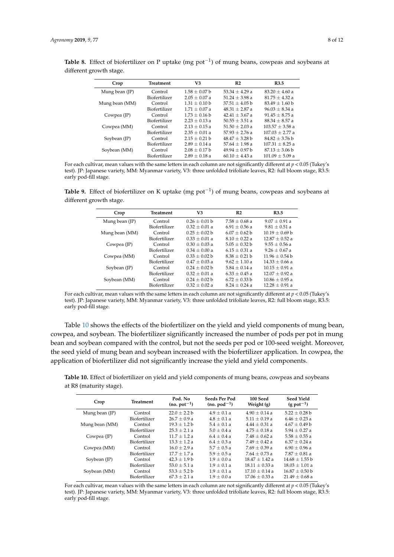| Crop           | <b>Treatment</b> | V3              | R <sub>2</sub>   | R3.5                |
|----------------|------------------|-----------------|------------------|---------------------|
| Mung bean (JP) | Control          | $1.58 + 0.07$ b | $53.34 + 4.29$ a | $83.20 + 4.60$ a    |
|                | Biofertilizer    | $2.05 + 0.07$ a | $51.24 + 3.98$ a | $81.75 + 4.32 a$    |
| Mung bean (MM) | Control          | $1.31 + 0.10$ b | $37.51 + 4.05$ b | $83.49 \pm 1.60$ b  |
|                | Biofertilizer    | $1.71 + 0.07$ a | $48.31 + 2.87$ a | $96.03 + 8.34 a$    |
| Cowpea (JP)    | Control          | $1.73 + 0.16$ b | $42.41 + 3.67$ a | $91.45 + 8.75$ a    |
|                | Biofertilizer    | $2.23 + 0.13a$  | $50.55 + 3.51$ a | $88.34 + 8.57$ a    |
| Cowpea (MM)    | Control          | $2.13 + 0.15a$  | $51.50 + 2.03$ a | $103.57 + 3.58$ a   |
|                | Biofertilizer    | $2.35 + 0.01 a$ | $57.93 + 2.76$ a | $107.03 + 2.77$ a   |
| Soybean (JP)   | Control          | $2.15 + 0.21$ b | $48.47 + 3.28$ b | $84.82 + 3.76$ b    |
|                | Biofertilizer    | $2.89 + 0.14$ a | $57.64 + 1.98$ a | $107.31 \pm 8.25$ a |
| Soybean (MM)   | Control          | $2.08 + 0.17$ b | $49.94 + 0.97$ b | $87.13 + 3.06$ b    |
|                | Biofertilizer    | $2.89 + 0.18$ a | $60.10 + 4.43$ a | $101.09 \pm 5.09$ a |
|                |                  |                 |                  |                     |

<span id="page-7-0"></span>Table 8. Effect of biofertilizer on P uptake (mg pot<sup>-1</sup>) of mung beans, cowpeas and soybeans at different growth stage.

For each cultivar, mean values with the same letters in each column are not significantly different at *p* < 0.05 (Tukey's test). JP: Japanese variety, MM: Myanmar variety, V3: three unfolded trifoliate leaves, R2: full bloom stage, R3.5: early pod-fill stage.

<span id="page-7-1"></span>Table 9. Effect of biofertilizer on K uptake (mg pot<sup>-1</sup>) of mung beans, cowpeas and soybeans at different growth stage.

| Crop           | <b>Treatment</b> | V3                | R <sub>2</sub>    | R3.5               |
|----------------|------------------|-------------------|-------------------|--------------------|
| Mung bean (JP) | Control          | $0.26 \pm 0.01$ b | $7.58 + 0.68$ a   | $9.07 + 0.91 a$    |
|                | Biofertilizer    | $0.32 \pm 0.01$ a | $6.91 \pm 0.56$ a | $9.81 \pm 0.51$ a  |
| Mung bean (MM) | Control          | $0.25 + 0.02$ b   | $6.07 + 0.62$ b   | $10.19 + 0.69$ b   |
|                | Biofertilizer    | $0.33 + 0.01 a$   | $8.10 + 0.22$ a   | $12.87 + 0.52 a$   |
| Cowpea (JP)    | Control          | $0.30 + 0.03 a$   | $5.05 + 0.32$ b   | $9.55 + 0.56$ a    |
|                | Biofertilizer    | $0.34 + 0.00 a$   | $6.15 + 0.31$ a   | $9.26 + 0.67$ a    |
| Cowpea (MM)    | Control          | $0.33 + 0.02 b$   | $8.38 + 0.21$ b   | $11.96 + 0.54$ b   |
|                | Biofertilizer    | $0.47 + 0.03 a$   | $9.62 + 1.10a$    | $14.33 + 0.66$ a   |
| Soybean (JP)   | Control          | $0.24 + 0.02$ b   | $5.84 + 0.14$ a   | $10.15 + 0.91 a$   |
|                | Biofertilizer    | $0.32 + 0.01 a$   | $6.33 + 0.45a$    | $12.07 \pm 0.92$ a |
| Soybean (MM)   | Control          | $0.24 + 0.02$ b   | $6.72 + 0.33$ b   | $10.86 + 0.95 a$   |
|                | Biofertilizer    | $0.32 + 0.02 a$   | $8.24 + 0.24$ a   | $12.28 + 0.91$ a   |
|                |                  |                   |                   |                    |

For each cultivar, mean values with the same letters in each column are not significantly different at *p* < 0.05 (Tukey's test). JP: Japanese variety, MM: Myanmar variety, V3: three unfolded trifoliate leaves, R2: full bloom stage, R3.5: early pod-fill stage.

Table [10](#page-7-2) shows the effects of the biofertilizer on the yield and yield components of mung bean, cowpea, and soybean. The biofertilizer significantly increased the number of pods per pot in mung bean and soybean compared with the control, but not the seeds per pod or 100-seed weight. Moreover, the seed yield of mung bean and soybean increased with the biofertilizer application. In cowpea, the application of biofertilizer did not significantly increase the yield and yield components.

<span id="page-7-2"></span>**Table 10.** Effect of biofertilizer on yield and yield components of mung beans, cowpeas and soybeans at R8 (maturity stage).

| Crop           | <b>Treatment</b> | Pod. No<br>$(no. pot-1)$ | Seeds Per Pod<br>$(no.$ $pod^{-1}$ ) | 100 Seed<br>Weight (g) | <b>Seed Yield</b><br>$(g$ pot <sup>-1</sup> ) |
|----------------|------------------|--------------------------|--------------------------------------|------------------------|-----------------------------------------------|
| Mung bean (JP) | Control          | $22.0 \pm 2.2 b$         | $4.9 + 0.1 a$                        | $4.90 \pm 0.14$ a      | $5.22 \pm 0.28$ b                             |
|                | Biofertilizer    | $26.7 + 0.9 a$           | $4.8 + 0.1 a$                        | $5.11 + 0.19a$         | $6.46 + 0.23a$                                |
| Mung bean (MM) | Control          | $19.3 + 1.2 b$           | $5.4 + 0.1 a$                        | $4.44 + 0.31 a$        | $4.67 + 0.49$ b                               |
|                | Biofertilizer    | $25.3 + 2.1 a$           | $5.0 + 0.4 a$                        | $4.75 + 0.18$ a        | $5.94 + 0.27$ a                               |
| Cowpea (JP)    | Control          | $11.7 + 1.2 a$           | $6.4 + 0.4 a$                        | $7.48 + 0.62 a$        | $5.58 + 0.55$ a                               |
|                | Biofertilizer    | $13.3 + 1.2 a$           | $6.4 + 0.3 a$                        | $7.49 + 0.42 a$        | $6.37 + 0.24$ a                               |
| Cowpea (MM)    | Control          | $16.0 + 2.9 a$           | $5.7 + 0.5a$                         | $7.69 + 0.39 a$        | $6.90 + 0.96$ a                               |
|                | Biofertilizer    | $17.7 + 1.7 a$           | $5.9 + 0.5a$                         | $7.64 + 0.73 a$        | $7.87 \pm 0.81$ a                             |
| Soybean (JP)   | Control          | $42.3 + 1.9 b$           | $1.9 + 0.0 a$                        | $18.47 + 1.42 a$       | $14.68 \pm 1.55$ b                            |
|                | Biofertilizer    | $53.0 + 5.1 a$           | $1.9 + 0.1 a$                        | $18.11 + 0.33 a$       | $18.03 + 1.01 a$                              |
| Soybean (MM)   | Control          | $53.3 \pm 5.2 b$         | $1.9 \pm 0.1 a$                      | $17.10 + 0.14$ a       | $16.87 \pm 0.50$ b                            |
|                | Biofertilizer    | $67.3 + 2.1 a$           | $1.9 + 0.0 a$                        | $17.06 + 0.33 a$       | $21.49 + 0.68$ a                              |

For each cultivar, mean values with the same letters in each column are not significantly different at *p* < 0.05 (Tukey's test). JP: Japanese variety, MM: Myanmar variety, V3: three unfolded trifoliate leaves, R2: full bloom stage, R3.5: early pod-fill stage.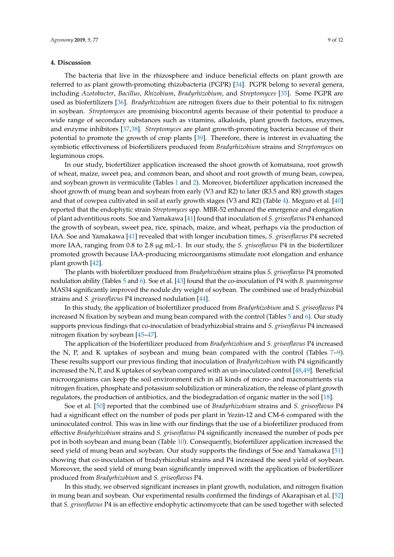## **4. Discussion**

The bacteria that live in the rhizosphere and induce beneficial effects on plant growth are referred to as plant growth-promoting rhizobacteria (PGPR) [\[34\]](#page-10-19). PGPR belong to several genera, including *Azotobacter*, *Bacillus*, *Rhizobium*, *Bradyrhizobium*, and *Streptomyces* [\[35\]](#page-10-20). Some PGPR are used as biofertilizers [\[36\]](#page-10-21). *Bradyrhizobium* are nitrogen fixers due to their potential to fix nitrogen in soybean. *Streptomyces* are promising biocontrol agents because of their potential to produce a wide range of secondary substances such as vitamins, alkaloids, plant growth factors, enzymes, and enzyme inhibitors [\[37,](#page-10-22)[38\]](#page-10-23). *Streptomyces* are plant growth-promoting bacteria because of their potential to promote the growth of crop plants [\[39\]](#page-11-0). Therefore, there is interest in evaluating the symbiotic effectiveness of biofertilizers produced from *Bradyrhizobium* strains and *Streptomyces* on leguminous crops.

In our study, biofertilizer application increased the shoot growth of komatsuna, root growth of wheat, maize, sweet pea, and common bean, and shoot and root growth of mung bean, cowpea, and soybean grown in vermiculite (Tables [1](#page-4-0) and [2\)](#page-4-1). Moreover, biofertilizer application increased the shoot growth of mung bean and soybean from early (V3 and R2) to later (R3.5 and R8) growth stages and that of cowpea cultivated in soil at early growth stages (V3 and R2) (Table [4\)](#page-5-1). Meguro et al. [\[40\]](#page-11-1) reported that the endophytic strain *Streptomyces* spp. MBR-52 enhanced the emergence and elongation of plant adventitious roots. Soe and Yamakawa [\[41\]](#page-11-2) found that inoculation of *S. griseoflavus* P4 enhanced the growth of soybean, sweet pea, rice, spinach, maize, and wheat, perhaps via the production of IAA. Soe and Yamakawa [\[41\]](#page-11-2) revealed that with longer incubation times, *S. griseoflavus* P4 secreted more IAA, ranging from 0.8 to 2.8 µg mL-1. In our study, the *S. griseoflavus* P4 in the biofertilizer promoted growth because IAA-producing microorganisms stimulate root elongation and enhance plant growth [\[42\]](#page-11-3).

The plants with biofertilizer produced from *Bradyrhizobium* strains plus *S. griseoflavus* P4 promoted nodulation ability (Tables [5](#page-6-0) and [6\)](#page-6-1). Soe et al. [\[43\]](#page-11-4) found that the co-inoculation of P4 with *B. yuanmingense* MAS34 significantly improved the nodule dry weight of soybean. The combined use of bradyrhizobial strains and *S. griseoflavus* P4 increased nodulation [\[44\]](#page-11-5).

In this study, the application of biofertilizer produced from *Bradyrhizobium* and *S. griseoflavus* P4 increased N fixation by soybean and mung bean compared with the control (Tables [5](#page-6-0) and [6\)](#page-6-1). Our study supports previous findings that co-inoculation of bradyrhizobial strains and *S. griseoflavus* P4 increased nitrogen fixation by soybean [\[45–](#page-11-6)[47\]](#page-11-7).

The application of the biofertilizer produced from *Bradyrhizobium* and *S. griseoflavus* P4 increased the N, P, and K uptakes of soybean and mung bean compared with the control (Tables [7](#page-6-2)[–9\)](#page-7-1). These results support our previous finding that inoculation of *Bradyrhizobium* with P4 significantly increased the N, P, and K uptakes of soybean compared with an un-inoculated control [\[48](#page-11-8)[,49\]](#page-11-9). Beneficial microorganisms can keep the soil environment rich in all kinds of micro- and macronutrients via nitrogen fixation, phosphate and potassium solubilization or mineralization, the release of plant growth regulators, the production of antibiotics, and the biodegradation of organic matter in the soil [\[18\]](#page-10-3).

Soe et al. [\[50\]](#page-11-10) reported that the combined use of *Bradyrhizobium* strains and *S. griseoflavus* P4 had a significant effect on the number of pods per plant in Yezin-12 and CM-6 compared with the uninoculated control. This was in line with our findings that the use of a biofertilizer produced from effective *Bradyrhizobium* strains and *S. griseoflavus* P4 significantly increased the number of pods per pot in both soybean and mung bean (Table [10\)](#page-7-2). Consequently, biofertilizer application increased the seed yield of mung bean and soybean. Our study supports the findings of Soe and Yamakawa [\[51\]](#page-11-11) showing that co-inoculation of bradyrhizobial strains and P4 increased the seed yield of soybean. Moreover, the seed yield of mung bean significantly improved with the application of biofertilizer produced from *Bradyrhizobium* and *S. griseoflavus* P4.

In this study, we observed significant increases in plant growth, nodulation, and nitrogen fixation in mung bean and soybean. Our experimental results confirmed the findings of Akarapisan et al. [\[52\]](#page-11-12) that *S. griseoflavus* P4 is an effective endophytic actinomycete that can be used together with selected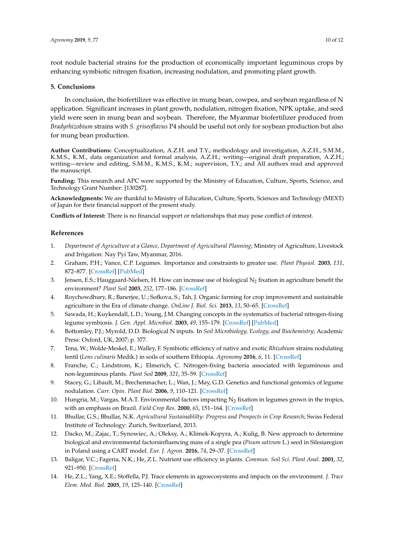root nodule bacterial strains for the production of economically important leguminous crops by enhancing symbiotic nitrogen fixation, increasing nodulation, and promoting plant growth.

# **5. Conclusions**

In conclusion, the biofertilizer was effective in mung bean, cowpea, and soybean regardless of N application. Significant increases in plant growth, nodulation, nitrogen fixation, NPK uptake, and seed yield were seen in mung bean and soybean. Therefore, the Myanmar biofertilizer produced from *Bradyrhizobium* strains with *S. griseoflavus* P4 should be useful not only for soybean production but also for mung bean production.

**Author Contributions:** Conceptualization, A.Z.H. and T.Y.; methodology and investigation, A.Z.H., S.M.M., K.M.S., K.M., data organization and formal analysis, A.Z.H.; writing—original draft preparation, A.Z.H.; writing—review and editing, S.M.M., K.M.S., K.M.; supervision, T.Y.; and All authors read and approved the manuscript.

**Funding:** This research and APC were supported by the Ministry of Education, Culture, Sports, Science, and Technology Grant Number: [130287].

**Acknowledgments:** We are thankful to Ministry of Education, Culture, Sports, Sciences and Technology (MEXT) of Japan for their financial support of the present study.

**Conflicts of Interest:** There is no financial support or relationships that may pose conflict of interest.

#### **References**

- <span id="page-9-0"></span>1. *Department of Agriculture at a Glance, Department of Agricultural Planning*; Ministry of Agriculture, Livestock and Irrigation: Nay Pyi Taw, Myanmar, 2016.
- <span id="page-9-1"></span>2. Graham, P.H.; Vance, C.P. Legumes. Importance and constraints to greater use. *Plant Physiol.* **2003**, *131*, 872–877. [\[CrossRef\]](http://dx.doi.org/10.1104/pp.017004) [\[PubMed\]](http://www.ncbi.nlm.nih.gov/pubmed/12644639)
- <span id="page-9-2"></span>3. Jensen, E.S.; Hauggaard-Nielsen, H. How can increase use of biological  $N_2$  fixation in agriculture benefit the environment? *Plant Soil* **2003**, *252*, 177–186. [\[CrossRef\]](http://dx.doi.org/10.1023/A:1024189029226)
- <span id="page-9-3"></span>4. Roychowdhury, R.; Banerjee, U.; Sofkova, S.; Tah, J. Organic farming for crop improvement and sustainable agriculture in the Era of climate change. *OnLine J. Biol. Sci.* **2013**, *13*, 50–65. [\[CrossRef\]](http://dx.doi.org/10.3844/ojbsci.2013.50.65)
- <span id="page-9-4"></span>5. Sawada, H.; Kuykendall, L.D.; Young, J.M. Changing concepts in the systematics of bacterial nitrogen-fixing legume symbiosis. *J. Gen. Appl. Microbiol.* **2003**, *49*, 155–179. [\[CrossRef\]](http://dx.doi.org/10.2323/jgam.49.155) [\[PubMed\]](http://www.ncbi.nlm.nih.gov/pubmed/12949698)
- <span id="page-9-5"></span>6. Bottomley, P.J.; Myrold, D.D. Biological N inputs. In *Soil Microbiology, Ecology, and Biochemistry*; Academic Press: Oxford, UK, 2007; p. 377.
- <span id="page-9-6"></span>7. Tena, W.; Wolde-Meskel, E.; Walley, F. Symbiotic efficiency of native and exotic *Rhizobium* strains nodulating lentil (*Lens culinaris* Medik.) in soils of southern Ethiopia. *Agronomy* **2016**, *6*, 11. [\[CrossRef\]](http://dx.doi.org/10.3390/agronomy6010011)
- <span id="page-9-7"></span>8. Franche, C.; Lindstrom, K.; Elmerich, C. Nitrogen-fixing bacteria associated with leguminous and non-leguminous plants. *Plant Soil* **2009**, *321*, 35–59. [\[CrossRef\]](http://dx.doi.org/10.1007/s11104-008-9833-8)
- <span id="page-9-8"></span>9. Stacey, G.; Libault, M.; Brechenmacher, L.; Wan, J.; May, G.D. Genetics and functional genomics of legume nodulation. *Curr. Opin. Plant Biol.* **2006**, *9*, 110–121. [\[CrossRef\]](http://dx.doi.org/10.1016/j.pbi.2006.01.005)
- <span id="page-9-9"></span>10. Hungria, M.; Vargas, M.A.T. Environmental factors impacting  $N_2$  fixation in legumes grown in the tropics, with an emphasis on Brazil. *Field Crop Res.* **2000**, *65*, 151–164. [\[CrossRef\]](http://dx.doi.org/10.1016/S0378-4290(99)00084-2)
- <span id="page-9-10"></span>11. Bhullar, G.S.; Bhullar, N.K. *Agricultural Sustainablilty: Progress and Prospects in Crop Research*; Swiss Federal Institute of Technology: Zurich, Switzerland, 2013.
- <span id="page-9-11"></span>12. Dacko, M.; Zajac, T.; Synowiec, A.; Oleksy, A.; Klimek-Kopyra, A.; Kulig, B. New approach to determine biological and environmental factorsinfluencing mass of a single pea (*Pisum sativum* L.) seed in Silesiaregion in Poland using a CART model. *Eur. J. Agron.* **2016**, *74*, 29–37. [\[CrossRef\]](http://dx.doi.org/10.1016/j.eja.2015.11.025)
- <span id="page-9-12"></span>13. Baligar, V.C.; Fageria, N.K.; He, Z.L. Nutrient use efficiency in plants. *Commun. Soil Sci. Plant Anal.* **2001**, *32*, 921–950. [\[CrossRef\]](http://dx.doi.org/10.1081/CSS-100104098)
- <span id="page-9-13"></span>14. He, Z.L.; Yang, X.E.; Stoffella, P.J. Trace elements in agroecosystems and impacts on the environment. *J. Trace Elem. Med. Biol.* **2005**, *19*, 125–140. [\[CrossRef\]](http://dx.doi.org/10.1016/j.jtemb.2005.02.010)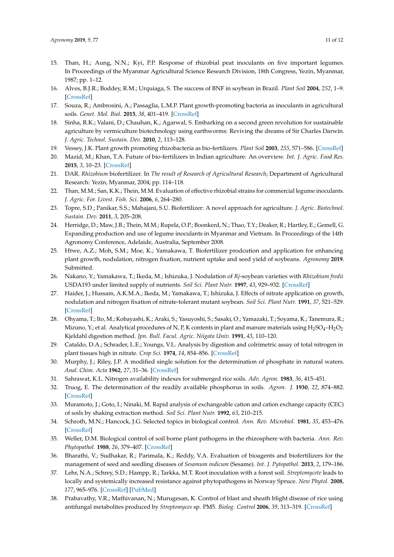- <span id="page-10-0"></span>15. Than, H.; Aung, N.N.; Kyi, P.P. Response of rhizobial peat inoculants on five important legumes. In Proceedings of the Myanmar Agricultural Science Research Division, 18th Congress, Yezin, Myanmar, 1987; pp. 1–12.
- <span id="page-10-1"></span>16. Alves, B.J.R.; Boddey, R.M.; Urquiaga, S. The success of BNF in soybean in Brazil. *Plant Soil* **2004**, *252*, 1–9. [\[CrossRef\]](http://dx.doi.org/10.1023/A:1024191913296)
- <span id="page-10-2"></span>17. Souza, R.; Ambrosini, A.; Passaglia, L.M.P. Plant growth-promoting bacteria as inoculants in agricultural soils. *Genet. Mol. Biol.* **2015**, *38*, 401–419. [\[CrossRef\]](http://dx.doi.org/10.1590/S1415-475738420150053)
- <span id="page-10-3"></span>18. Sinha, R.K.; Valani, D.; Chauhan, K.; Agarwal, S. Embarking on a second green revolution for sustainable agriculture by vermiculture biotechnology using earthworms: Reviving the dreams of Sir Charles Darwin. *J. Agric. Technol. Sustain. Dev.* **2010**, *2*, 113–128.
- <span id="page-10-4"></span>19. Vessey, J.K. Plant growth promoting rhizobacteria as bio-fertilizers. *Plant Soil* **2003**, *255*, 571–586. [\[CrossRef\]](http://dx.doi.org/10.1023/A:1026037216893)
- <span id="page-10-5"></span>20. Mazid, M.; Khan, T.A. Future of bio-fertilizers in Indian agriculture: An overview. *Int. J. Agric. Food Res.* **2015**, *3*, 10–23. [\[CrossRef\]](http://dx.doi.org/10.24102/ijafr.v3i3.132)
- <span id="page-10-6"></span>21. DAR. *Rhizobium* biofertilizer. In *The result of Research of Agricultural Research*; Department of Agricultural Research: Yezin, Myanmar, 2004; pp. 114–118.
- <span id="page-10-7"></span>22. Than, M.M.; San, K.K.; Thein, M.M. Evaluation of effective rhizobial strains for commercial legume inoculants. *J. Agric. For. Livest. Fish. Sci.* **2006**, *6*, 264–280.
- <span id="page-10-8"></span>23. Topre, S.D.; Panikar, S.S.; Mahajani, S.U. Biofertilizer: A novel approach for agriculture. *J. Agric. Biotechnol. Sustain. Dev.* **2011**, *3*, 205–208.
- <span id="page-10-9"></span>24. Herridge, D.; Maw, J.B.; Thein, M.M.; Rupela, O.P.; Boonkerd, N.; Thao, T.Y.; Deaker, R.; Hartley, E.; Gemell, G. Expanding production and use of legume inoculants in Myanmar and Vietnam. In Proceedings of the 14th Agronomy Conference, Adelaide, Australia, September 2008.
- <span id="page-10-10"></span>25. Htwe, A.Z.; Moh, S.M.; Moe, K.; Yamakawa, T. Biofertilizer prodcution and application for enhancing plant growth, nodulation, nitrogen fixation, nutrient uptake and seed yield of soybeans. *Agronomy* **2019**. Submitted.
- <span id="page-10-11"></span>26. Nakano, Y.; Yamakawa, T.; Ikeda, M.; Ishizuka, J. Nodulation of *Rj*-soybean varieties with *Rhizobium fredii* USDA193 under limited supply of nutrients. *Soil Sci. Plant Nutr.* **1997**, *43*, 929–932. [\[CrossRef\]](http://dx.doi.org/10.1080/00380768.1997.10414659)
- <span id="page-10-12"></span>27. Haider, J.; Hussam, A.K.M.A.; Ikeda, M.; Yamakawa, T.; Ishizuka, J. Effects of nitrate application on growth, nodulation and nitrogen fixation of nitrate-tolerant mutant soybean. *Soil Sci. Plant Nutr.* **1991**, *37*, 521–529. [\[CrossRef\]](http://dx.doi.org/10.1080/00380768.1991.10415065)
- <span id="page-10-13"></span>28. Ohyama, T.; Ito, M.; Kobayashi, K.; Araki, S.; Yasuyoshi, S.; Sasaki, O.; Yamazaki, T.; Soyama, K.; Tanemura, R.; Mizuno, Y.; et al. Analytical procedures of N, P, K contents in plant and manure materials using  $H_2SO_4-H_2O_2$ Kjeldahl digestion method. *Jpn. Bull. Facul. Agric. Niigata Univ.* **1991**, *43*, 110–120.
- <span id="page-10-14"></span>29. Cataldo, D.A.; Schrader, L.E.; Youngs, V.L. Analysis by digestion and colrimetric assay of total nitrogen in plant tissues high in nitrate. *Crop Sci.* **1974**, *14*, 854–856. [\[CrossRef\]](http://dx.doi.org/10.2135/cropsci1974.0011183X001400060024x)
- <span id="page-10-15"></span>30. Murphy, J.; Riley, J.P. A modified single solution for the determination of phosphate in natural waters. *Anal. Chim. Acta* **1962**, *27*, 31–36. [\[CrossRef\]](http://dx.doi.org/10.1016/S0003-2670(00)88444-5)
- <span id="page-10-16"></span>31. Sahrawat, K.L. Nitrogen availability indexes for submerged rice soils. *Adv. Agron.* **1983**, *36*, 415–451.
- <span id="page-10-17"></span>32. Truog, E. The determination of the readily available phosphorus in soils. *Agron. J.* **1930**, *22*, 874–882. [\[CrossRef\]](http://dx.doi.org/10.2134/agronj1930.00021962002200100008x)
- <span id="page-10-18"></span>33. Muramoto, J.; Goto, I.; Ninaki, M. Rapid analysis of exchangeable cation and cation exchange capacity (CEC) of soils by shaking extraction method. *Soil Sci. Plant Nutr.* **1992**, *63*, 210–215.
- <span id="page-10-19"></span>34. Schroth, M.N.; Hancock, J.G. Selected topics in biological control. *Ann. Rev. Microbiol.* **1981**, *35*, 453–476. [\[CrossRef\]](http://dx.doi.org/10.1146/annurev.mi.35.100181.002321)
- <span id="page-10-20"></span>35. Weller, D.M. Biological control of soil borne plant pathogens in the rhizosphere with bacteria. *Ann. Rev. Phytopathol.* **1988**, *26*, 379–407. [\[CrossRef\]](http://dx.doi.org/10.1146/annurev.py.26.090188.002115)
- <span id="page-10-21"></span>36. Bharathi, V.; Sudhakar, R.; Parimala, K.; Reddy, V.A. Evaluation of bioagents and biofertilizers for the management of seed and seedling diseases of *Sesamum indicum* (Sesame). *Int. J. Pytopathol.* **2013**, *2*, 179–186.
- <span id="page-10-22"></span>37. Lehr, N.A.; Schrey, S.D.; Hampp, R.; Tarkka, M.T. Root inoculation with a forest soil. *Streptomycete* leads to locally and systemically increased resistance against phytopathogens in Norway Spruce. *New Phytol.* **2008**, *177*, 965–976. [\[CrossRef\]](http://dx.doi.org/10.1111/j.1469-8137.2007.02322.x) [\[PubMed\]](http://www.ncbi.nlm.nih.gov/pubmed/18086220)
- <span id="page-10-23"></span>38. Prabavathy, V.R.; Mathivanan, N.; Murugesan, K. Control of blast and sheath blight disease of rice using antifungal metabolites produced by *Streptomyces* sp. PM5. *Biolog. Control* **2006**, *39*, 313–319. [\[CrossRef\]](http://dx.doi.org/10.1016/j.biocontrol.2006.07.011)